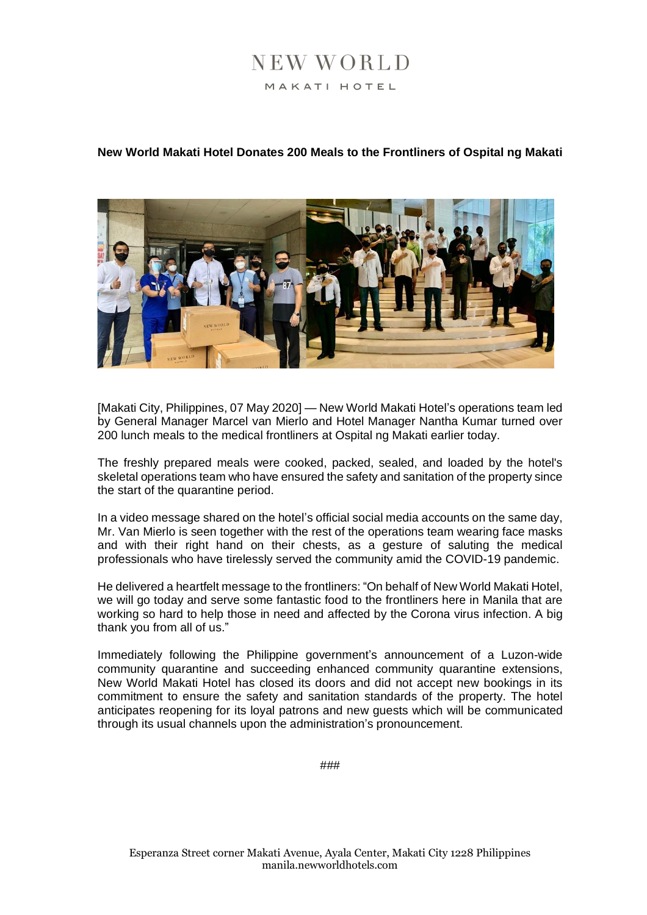## NEW WORLD MAKATI HOTEL

### **New World Makati Hotel Donates 200 Meals to the Frontliners of Ospital ng Makati**



[Makati City, Philippines, 07 May 2020] — New World Makati Hotel's operations team led by General Manager Marcel van Mierlo and Hotel Manager Nantha Kumar turned over 200 lunch meals to the medical frontliners at Ospital ng Makati earlier today.

The freshly prepared meals were cooked, packed, sealed, and loaded by the hotel's skeletal operations team who have ensured the safety and sanitation of the property since the start of the quarantine period.

In a video message shared on the hotel's official social media accounts on the same day, Mr. Van Mierlo is seen together with the rest of the operations team wearing face masks and with their right hand on their chests, as a gesture of saluting the medical professionals who have tirelessly served the community amid the COVID-19 pandemic.

He delivered a heartfelt message to the frontliners: "On behalf of New World Makati Hotel, we will go today and serve some fantastic food to the frontliners here in Manila that are working so hard to help those in need and affected by the Corona virus infection. A big thank you from all of us."

Immediately following the Philippine government's announcement of a Luzon-wide community quarantine and succeeding enhanced community quarantine extensions, New World Makati Hotel has closed its doors and did not accept new bookings in its commitment to ensure the safety and sanitation standards of the property. The hotel anticipates reopening for its loyal patrons and new guests which will be communicated through its usual channels upon the administration's pronouncement.

###